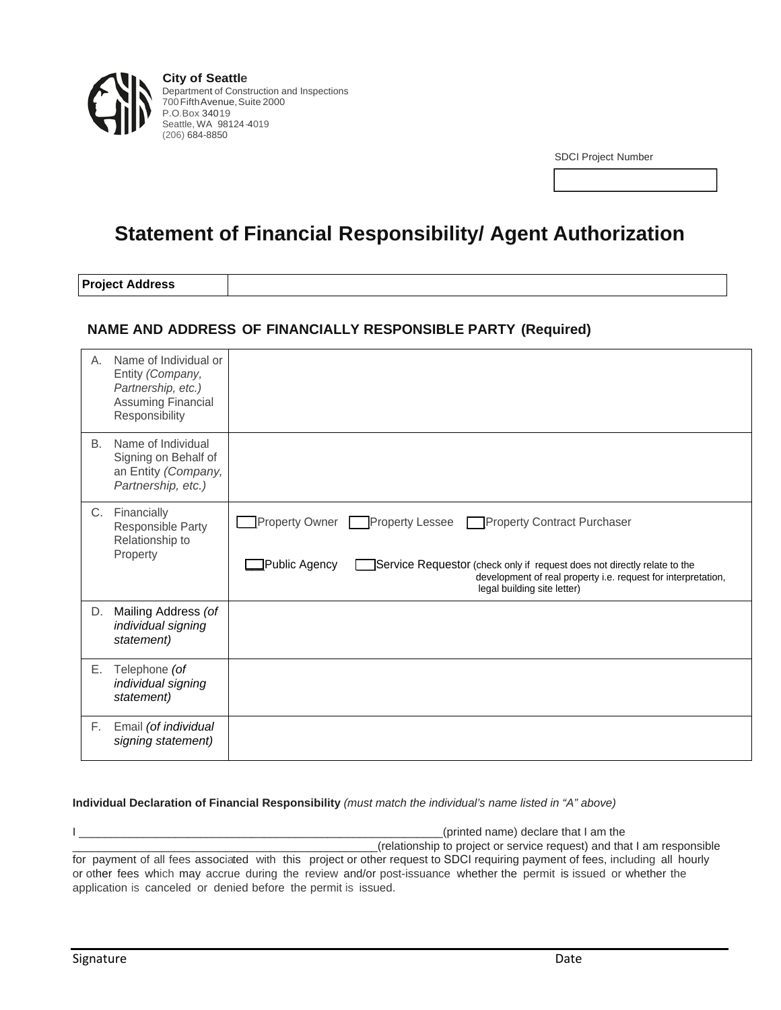

**City of Seattle** Department of Construction and Inspections 700 Fifth Avenue, Suite 2000 P.O.Box 34019 Seattle, WA 98124 -4019 (206) 684-8850

SDCI Project Number

## **Statement of Financial Responsibility/ Agent Authorization**

**Project Address** 

## **NAME AND ADDRESS OF FINANCIALLY RESPONSIBLE PARTY (Required)**

| Α.        | Name of Individual or<br>Entity (Company,<br>Partnership, etc.)<br><b>Assuming Financial</b><br>Responsibility |                                                                                                                                                                                                                                                          |
|-----------|----------------------------------------------------------------------------------------------------------------|----------------------------------------------------------------------------------------------------------------------------------------------------------------------------------------------------------------------------------------------------------|
| <b>B.</b> | Name of Individual<br>Signing on Behalf of<br>an Entity (Company,<br>Partnership, etc.)                        |                                                                                                                                                                                                                                                          |
|           | C. Financially<br>Responsible Party<br>Relationship to<br>Property                                             | Property Owner Property Lessee Property Contract Purchaser<br>⊒Public Agency<br>Service Requestor (check only if request does not directly relate to the<br>development of real property i.e. request for interpretation,<br>legal building site letter) |
| D.        | Mailing Address (of<br>individual signing<br>statement)                                                        |                                                                                                                                                                                                                                                          |
| Е.        | Telephone (of<br>individual signing<br>statement)                                                              |                                                                                                                                                                                                                                                          |
| F.        | Email (of individual<br>signing statement)                                                                     |                                                                                                                                                                                                                                                          |

## **Individual Declaration of Financial Responsibility** *(must match the individual's name listed in "A" above)*

I \_\_\_\_\_\_\_\_\_\_\_\_\_\_\_\_\_\_\_\_\_\_\_\_\_\_\_\_\_\_\_\_\_\_\_\_\_\_\_\_\_\_\_\_\_\_\_\_\_\_\_\_\_\_\_\_\_(printed name) declare that I am the \_\_\_\_\_\_\_\_\_\_\_\_\_\_\_\_\_\_\_\_\_\_\_\_\_\_\_\_\_\_\_\_\_\_\_\_\_\_\_\_\_\_\_\_\_\_\_\_(relationship to project or service request) and that I am responsible for payment of all fees associated with this project or other request to SDCI requiring payment of fees, including all hourly or other fees which may accrue during the review and/or post-issuance whether the permit is issued or whether the application is canceled or denied before the permit is issued.